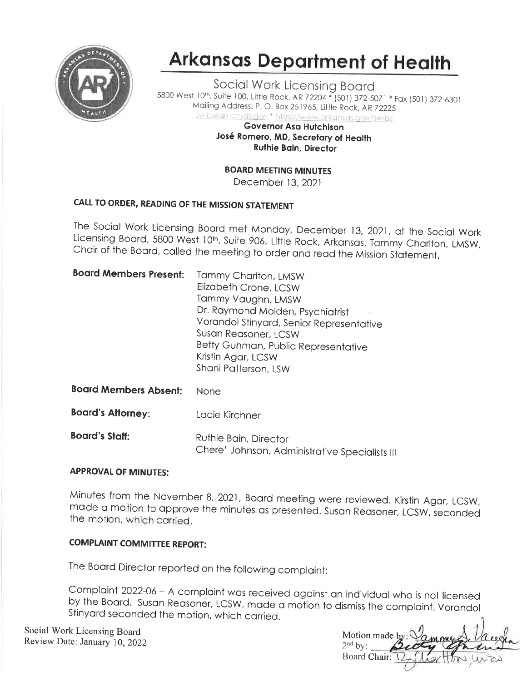

# **Arkansas Department of Health**

Social Work Licensing Board 5800 West 10<sup>th</sup>, Suite 100, Little Rock, AR 72204 \* (501) 372-5071 \* Fax (501) 372-6301 Mailing Address: P. O. Box 251965, Little Rock, AR 72225 swib 4 dikans as gov \* http://www.arkansas.gov/swib/

**Governor Asa Hutchison** José Romero, MD, Secretary of Health **Ruthie Bain, Director** 

**BOARD MEETING MINUTES** 

December 13, 2021

### CALL TO ORDER, READING OF THE MISSION STATEMENT

The Social Work Licensing Board met Monday, December 13, 2021, at the Social Work Licensing Board, 5800 West 10th, Suite 906, Little Rock, Arkansas. Tammy Charlton, LMSW, Chair of the Board, called the meeting to order and read the Mission Statement.

| <b>Board Members Present:</b> | Tammy Charlton, LMSW<br>Elizabeth Crone, LCSW<br>Tammy Vaughn, LMSW<br>Dr. Raymond Molden, Psychiatrist<br>Vorandol Stinyard, Senior Representative<br>Susan Reasoner, LCSW<br>Betty Guhman, Public Representative<br>Kristin Agar, LCSW<br>Shani Patterson, LSW |  |
|-------------------------------|------------------------------------------------------------------------------------------------------------------------------------------------------------------------------------------------------------------------------------------------------------------|--|
| <b>Board Members Absent:</b>  | None                                                                                                                                                                                                                                                             |  |
| <b>Board's Attorney:</b>      | Lacie Kirchner                                                                                                                                                                                                                                                   |  |
| <b>Board's Staff:</b>         | Ruthie Bain, Director<br>Chere' Johnson, Administrative Specialists III                                                                                                                                                                                          |  |

#### **APPROVAL OF MINUTES:**

Minutes from the November 8, 2021, Board meeting were reviewed. Kirstin Agar, LCSW, made a motion to approve the minutes as presented. Susan Reasoner, LCSW, seconded the motion, which carried.

### **COMPLAINT COMMITTEE REPORT:**

The Board Director reported on the following complaint:

Complaint 2022-06 - A complaint was received against an individual who is not licensed by the Board. Susan Reasoner, LCSW, made a motion to dismiss the complaint. Vorandol Stinyard seconded the motion, which carried.

Social Work Licensing Board Review Date: January 10, 2022

Motion made  $2<sup>nd</sup>$  by: Board Chair: V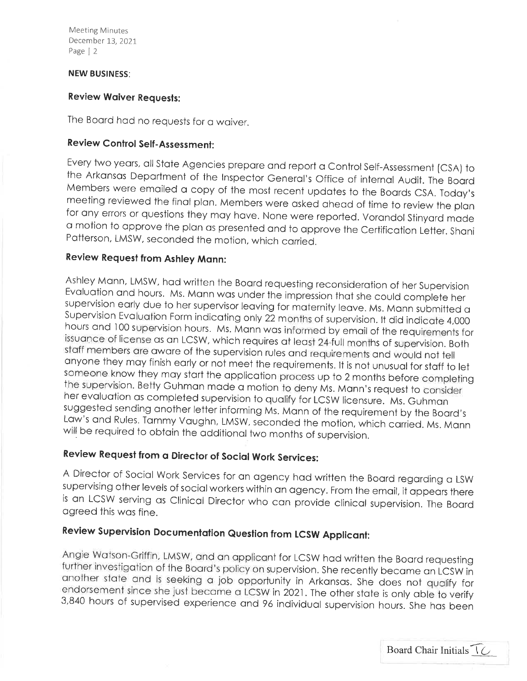Meeting Minutes December 13,202I Page | <sup>2</sup>

#### NEW BUSINESS:

#### Review Woiver Requests:

The Board had no requests for a waiver.

### Review Control Self -Assessment:

Every two years, all State Agencies prepare and report a Control Self-Assessment (CSA) to the Arkansas Department of the Inspector General's Office of internal Audit. The Board Members were emailed a copy of the most recen <sup>o</sup>motion to opprove the plon os presented ond to opprove the Certificotion Letter. Shoni Potterson, LMSW, seconded the motion, which conied.

### Review Request from Ashley Monn:

Ashley Mann, LMSW, had written the Board requesting reconsideration of her Supervision<br>Evaluation and hours. Ms. Mann was under the impression that she could complete her<br>supervision early due to her supervisor leaving for hours and 100 supervision hours. Ms. Mann was informed by email of the requirements for issuance of license as an LCSW, which requires at least 24-full months of supervision. Both staff members are aware of the supervision someone know they may start the application process up to 2 months before completing<br>the supervision. Betty Guhman made a motion to deny Ms. Mann's request to consider<br>her evaluation as completed supervision to qualify for

## Review Request from a Director of Social Work Services:

A Director of Social Work Services for an agency had written the Board regarding a LSW supervising other levels of social workers within an agency. From the email, it appears there is an LCSW serving as Clinical Director w

# Review Supervision Documentation Question from LCSW Applicant:

Angie Watson-Griffin, LMSW, and an applicant for LCSW had written the Board requesting<br>further investigation of the Board's policy on supervision. She recently became an LCSW in<br>another state and is seeking a job opportuni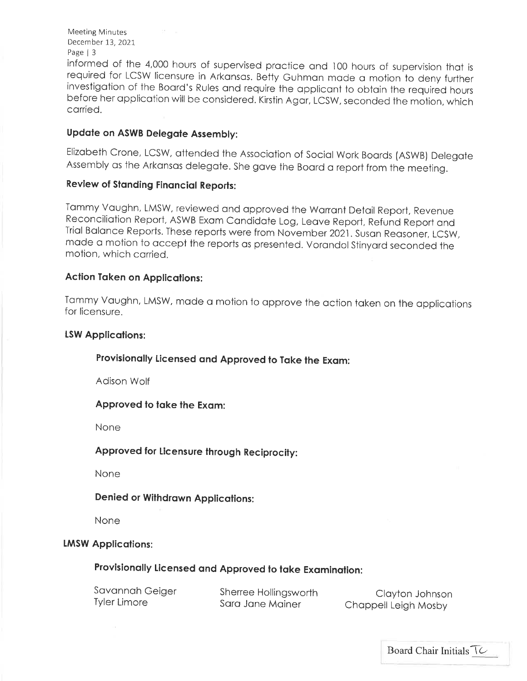Meeting Minutes December 13, 2021 Page | 3

informed of the 4,000 hours of supervised practice and 100 hours of supervision that is required for LCSW licensure in Arkansas. Betty Guhman made a motion to deny further<br>investigation of the Board's Rules and require the applicant to obtain the required hours before her application will be considered. Kirstin Agar, LCSW, seconded the motion, which carried.

### Updote on ASWB Delegote Assembly:

Elizobeth Crone, LCSW, ottended the Associotion of Sociol Work Boords (ASWB) Delegote Assembly as the Arkansas delegate. She gave the Board a report from the meeting.

### Review of Standing Financial Reports:

Tommy Voughn, LMSW, reviewed ond opproved the Worront Detoil Report, Revenue Reconciliation Report, ASWB Exam Candidate Log, Leave Report, Refund Report and<br>Trial Balance Reports. These reports were from November 2021. Susan Reasoner, LCSW, made a motion to accept the reports as presented. Vorandol Stinyard seconded the motion, which corried.

#### Action Token on Applicotions:

Tammy Vaughn, LMSW, made a motion to approve the action taken on the applications for licensure.

#### LSW Applications:

### Provisionolly Licensed ond Approved to Toke the Exom:

Adison Wolf

#### Approved to take the Exam:

None

#### Approved for licensure through Reciprocity:

None

### Denied or Withdrown Applicotions:

None

#### **LMSW Applications:**

### Provisionolly licensed ond Approved to toke Exqminotion:

| Savannah Geiger     | Sherree Hollingsworth | Clayton Johnson      |
|---------------------|-----------------------|----------------------|
| <b>Tyler Limore</b> | Sara Jane Mainer      | Chappell Leigh Mosby |

Board Chair Initials  $\overline{\ }$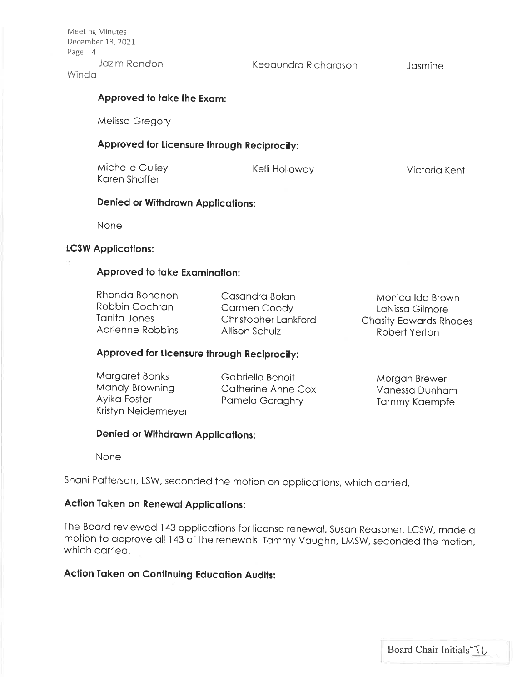**Meeting Minutes** December 13, 2021 Page | 4 Jozim Rendon

Keeoundro Richordson

Josmine

#### **Winda**

#### Approved to take the Exam:

Melisso Gregory

#### Approved for licensure through Reciprocity:

Michelle Gulley Kelli Holloway Koren Shoffer

Victorio Kent

### Denied or Withdrawn Applications:

None

#### **LCSW Applications:**

#### Approved to take Examination:

Rhondo Bohonon Robbin Cochron Tonito Jones Adrienne Robbins

Cosondro Bolon Cormen Coody Christopher Lonkford Allison Schulz

Monico ldo Brown LoNisso Gilmore Chosity Edwords Rhodes Robert Yerton

### Approved for Licensure through Reciprocity:

Morgoret Bonks Mondy Browning Ayiko Foster Kristyn Neidermeyer Gabriella Benoit Cotherine Anne Cox Pomelo Geroghty

Morgon Brewer Vonesso Dunhqm Tommy Koempfe

#### Denied or Withdrawn Applications:

None

shoni Potterson, LSW, seconded the motion on opplicotions, which corried.

### Action Taken on Renewal Applications:

The Board reviewed 143 applications for license renewal. Susan Reasoner, LCSW, made a motion to approve all 143 of the renewals. Tammy Vaughn, LMSW, seconded the motion, which corried.

### Action Token on Continuing Educotion Audits: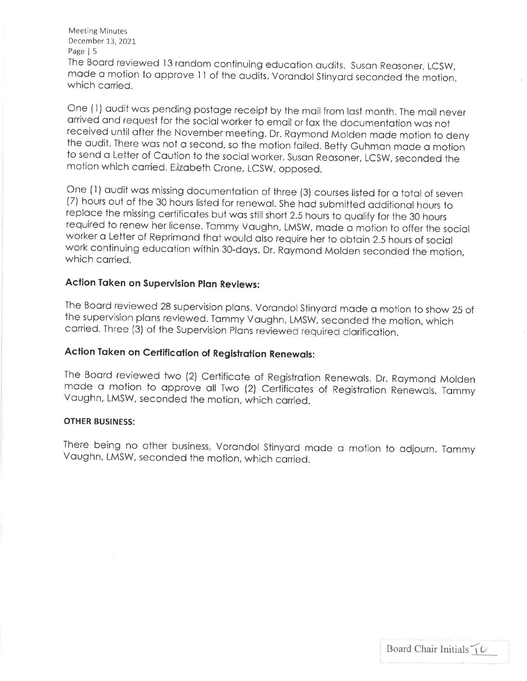Meeting Minutes December 13,2021

Page | 5<br>The Board reviewed 13 random continuing education audits. Susan Reasoner, LCSW, made a motion to approve 11 of the audits. Vorandol Stinyard seconded the motion, which carried.

One (1) audit was pending postage receipt by the mail from last month. The mail never arrived and request for the social worker to email or fax the documentation was not received until after the November meeting. Dr. Raymo to send a Letter of Caution to the social worker. Susan Reasoner, LCSW, seconded the motion which carried. Eizabeth Crone, LCSW, opposed.

One (1) audit was missing documentation of three (3) courses listed for a total of seven (7) hours out of the 30 hours listed for renewal. She had submitted additional hours to replace the missing certificates but was stil worker a Letter of Reprimand that would also require her to obtain 2.5 hours of social<br>work continuing education within 30-days. Dr. Raymond Molden seconded the motion,<br>which carried.

### Action Taken on Supervision Plan Reviews:

The Board reviewed 28 supervision plans. Vorandol Stinyard made a motion to show 25 of the supervision plans reviewed. Tammy Vaughn, LMSW, seconded the motion, which carried. Three (3) of the Supervision Plans reviewed req

### Action Taken on Certification of Registration Renewals:

The Boord reviewed two (2) Certificote of Registrotion Renewols. Dr. Roymond Molden mode o motion to opprove oll Two (2) Certificotes of Registrotion Renewols. Tommy Voughn, LMSW, seconded the motion, which corried.

#### OTHER BUSINESS:

There being no other business, Vorandol Stinyard made a motion to adjourn. Tammy<br>Vaughn, LMSW, seconded the motion, which carried.